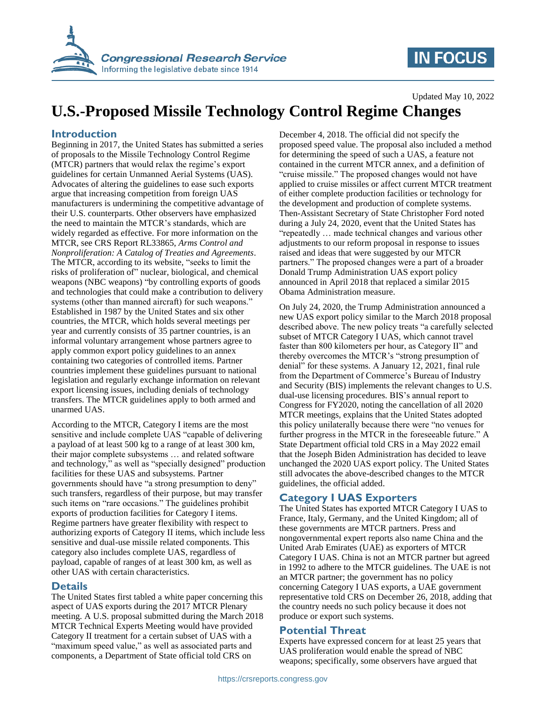

## **IN FOCUS**

#### Updated May 10, 2022

# **U.S.-Proposed Missile Technology Control Regime Changes**

### **Introduction**

Beginning in 2017, the United States has submitted a series of proposals to the Missile Technology Control Regime (MTCR) partners that would relax the regime's export guidelines for certain Unmanned Aerial Systems (UAS). Advocates of altering the guidelines to ease such exports argue that increasing competition from foreign UAS manufacturers is undermining the competitive advantage of their U.S. counterparts. Other observers have emphasized the need to maintain the MTCR's standards, which are widely regarded as effective. For more information on the MTCR, see CRS Report RL33865, *Arms Control and Nonproliferation: A Catalog of Treaties and Agreements*. The MTCR, according to its website, "seeks to limit the risks of proliferation of" nuclear, biological, and chemical weapons (NBC weapons) "by controlling exports of goods and technologies that could make a contribution to delivery systems (other than manned aircraft) for such weapons." Established in 1987 by the United States and six other countries, the MTCR, which holds several meetings per year and currently consists of 35 partner countries, is an informal voluntary arrangement whose partners agree to apply common export policy guidelines to an annex containing two categories of controlled items. Partner countries implement these guidelines pursuant to national legislation and regularly exchange information on relevant export licensing issues, including denials of technology transfers. The MTCR guidelines apply to both armed and unarmed UAS.

According to the MTCR, Category I items are the most sensitive and include complete UAS "capable of delivering a payload of at least 500 kg to a range of at least 300 km, their major complete subsystems … and related software and technology," as well as "specially designed" production facilities for these UAS and subsystems. Partner governments should have "a strong presumption to deny" such transfers, regardless of their purpose, but may transfer such items on "rare occasions." The guidelines prohibit exports of production facilities for Category I items. Regime partners have greater flexibility with respect to authorizing exports of Category II items, which include less sensitive and dual-use missile related components. This category also includes complete UAS, regardless of payload, capable of ranges of at least 300 km, as well as other UAS with certain characteristics.

### **Details**

The United States first tabled a white paper concerning this aspect of UAS exports during the 2017 MTCR Plenary meeting. A U.S. proposal submitted during the March 2018 MTCR Technical Experts Meeting would have provided Category II treatment for a certain subset of UAS with a "maximum speed value," as well as associated parts and components, a Department of State official told CRS on

December 4, 2018. The official did not specify the proposed speed value. The proposal also included a method for determining the speed of such a UAS, a feature not contained in the current MTCR annex, and a definition of "cruise missile." The proposed changes would not have applied to cruise missiles or affect current MTCR treatment of either complete production facilities or technology for the development and production of complete systems. Then-Assistant Secretary of State Christopher Ford noted during a July 24, 2020, event that the United States has "repeatedly … made technical changes and various other adjustments to our reform proposal in response to issues raised and ideas that were suggested by our MTCR partners." The proposed changes were a part of a broader Donald Trump Administration UAS export policy announced in April 2018 that replaced a similar 2015 Obama Administration measure.

On July 24, 2020, the Trump Administration announced a new UAS export policy similar to the March 2018 proposal described above. The new policy treats "a carefully selected subset of MTCR Category I UAS, which cannot travel faster than 800 kilometers per hour, as Category II" and thereby overcomes the MTCR's "strong presumption of denial" for these systems. A January 12, 2021, final rule from the Department of Commerce's Bureau of Industry and Security (BIS) implements the relevant changes to U.S. dual-use licensing procedures. BIS's annual report to Congress for FY2020, noting the cancellation of all 2020 MTCR meetings, explains that the United States adopted this policy unilaterally because there were "no venues for further progress in the MTCR in the foreseeable future." A State Department official told CRS in a May 2022 email that the Joseph Biden Administration has decided to leave unchanged the 2020 UAS export policy. The United States still advocates the above-described changes to the MTCR guidelines, the official added.

## **Category I UAS Exporters**

The United States has exported MTCR Category I UAS to France, Italy, Germany, and the United Kingdom; all of these governments are MTCR partners. Press and nongovernmental expert reports also name China and the United Arab Emirates (UAE) as exporters of MTCR Category I UAS. China is not an MTCR partner but agreed in 1992 to adhere to the MTCR guidelines. The UAE is not an MTCR partner; the government has no policy concerning Category I UAS exports, a UAE government representative told CRS on December 26, 2018, adding that the country needs no such policy because it does not produce or export such systems.

### **Potential Threat**

Experts have expressed concern for at least 25 years that UAS proliferation would enable the spread of NBC weapons; specifically, some observers have argued that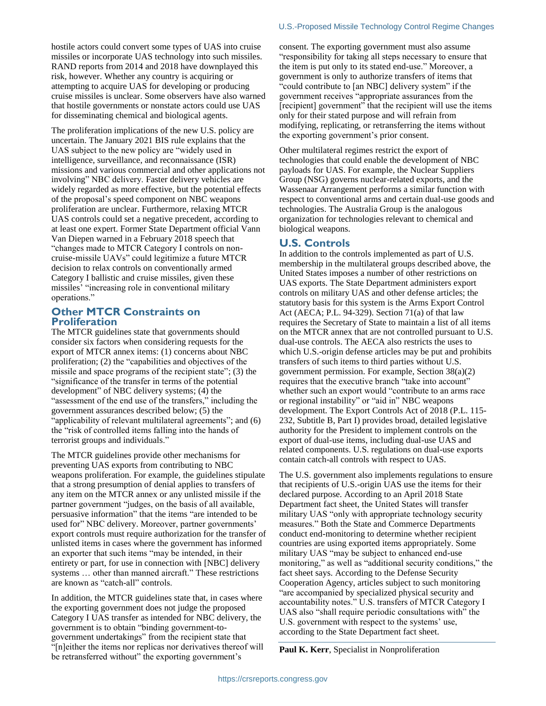The proliferation implications of the new U.S. policy are uncertain. The January 2021 BIS rule explains that the UAS subject to the new policy are "widely used in intelligence, surveillance, and reconnaissance (ISR) missions and various commercial and other applications not involving" NBC delivery. Faster delivery vehicles are widely regarded as more effective, but the potential effects of the proposal's speed component on NBC weapons proliferation are unclear. Furthermore, relaxing MTCR UAS controls could set a negative precedent, according to at least one expert. Former State Department official Vann Van Diepen warned in a February 2018 speech that "changes made to MTCR Category I controls on noncruise-missile UAVs" could legitimize a future MTCR decision to relax controls on conventionally armed Category I ballistic and cruise missiles, given these missiles' "increasing role in conventional military operations."

## **Other MTCR Constraints on Proliferation**

The MTCR guidelines state that governments should consider six factors when considering requests for the export of MTCR annex items: (1) concerns about NBC proliferation; (2) the "capabilities and objectives of the missile and space programs of the recipient state"; (3) the "significance of the transfer in terms of the potential development" of NBC delivery systems; (4) the "assessment of the end use of the transfers," including the government assurances described below; (5) the "applicability of relevant multilateral agreements"; and (6) the "risk of controlled items falling into the hands of terrorist groups and individuals."

The MTCR guidelines provide other mechanisms for preventing UAS exports from contributing to NBC weapons proliferation. For example, the guidelines stipulate that a strong presumption of denial applies to transfers of any item on the MTCR annex or any unlisted missile if the partner government "judges, on the basis of all available, persuasive information" that the items "are intended to be used for" NBC delivery. Moreover, partner governments' export controls must require authorization for the transfer of unlisted items in cases where the government has informed an exporter that such items "may be intended, in their entirety or part, for use in connection with [NBC] delivery systems … other than manned aircraft." These restrictions are known as "catch-all" controls.

In addition, the MTCR guidelines state that, in cases where the exporting government does not judge the proposed Category I UAS transfer as intended for NBC delivery, the government is to obtain "binding government-togovernment undertakings" from the recipient state that "[n]either the items nor replicas nor derivatives thereof will be retransferred without" the exporting government's

consent. The exporting government must also assume "responsibility for taking all steps necessary to ensure that the item is put only to its stated end-use." Moreover, a government is only to authorize transfers of items that "could contribute to [an NBC] delivery system" if the government receives "appropriate assurances from the [recipient] government" that the recipient will use the items only for their stated purpose and will refrain from modifying, replicating, or retransferring the items without the exporting government's prior consent.

Other multilateral regimes restrict the export of technologies that could enable the development of NBC payloads for UAS. For example, the Nuclear Suppliers Group (NSG) governs nuclear-related exports, and the Wassenaar Arrangement performs a similar function with respect to conventional arms and certain dual-use goods and technologies. The Australia Group is the analogous organization for technologies relevant to chemical and biological weapons.

## **U.S. Controls**

In addition to the controls implemented as part of U.S. membership in the multilateral groups described above, the United States imposes a number of other restrictions on UAS exports. The State Department administers export controls on military UAS and other defense articles; the statutory basis for this system is the Arms Export Control Act (AECA; P.L. 94-329). Section 71(a) of that law requires the Secretary of State to maintain a list of all items on the MTCR annex that are not controlled pursuant to U.S. dual-use controls. The AECA also restricts the uses to which U.S.-origin defense articles may be put and prohibits transfers of such items to third parties without U.S. government permission. For example, Section 38(a)(2) requires that the executive branch "take into account" whether such an export would "contribute to an arms race or regional instability" or "aid in" NBC weapons development. The Export Controls Act of 2018 (P.L. 115- 232, Subtitle B, Part I) provides broad, detailed legislative authority for the President to implement controls on the export of dual-use items, including dual-use UAS and related components. U.S. regulations on dual-use exports contain catch-all controls with respect to UAS.

The U.S. government also implements regulations to ensure that recipients of U.S.-origin UAS use the items for their declared purpose. According to an April 2018 State Department fact sheet, the United States will transfer military UAS "only with appropriate technology security measures." Both the State and Commerce Departments conduct end-monitoring to determine whether recipient countries are using exported items appropriately. Some military UAS "may be subject to enhanced end-use monitoring," as well as "additional security conditions," the fact sheet says. According to the Defense Security Cooperation Agency, articles subject to such monitoring "are accompanied by specialized physical security and accountability notes." U.S. transfers of MTCR Category I UAS also "shall require periodic consultations with" the U.S. government with respect to the systems' use, according to the State Department fact sheet.